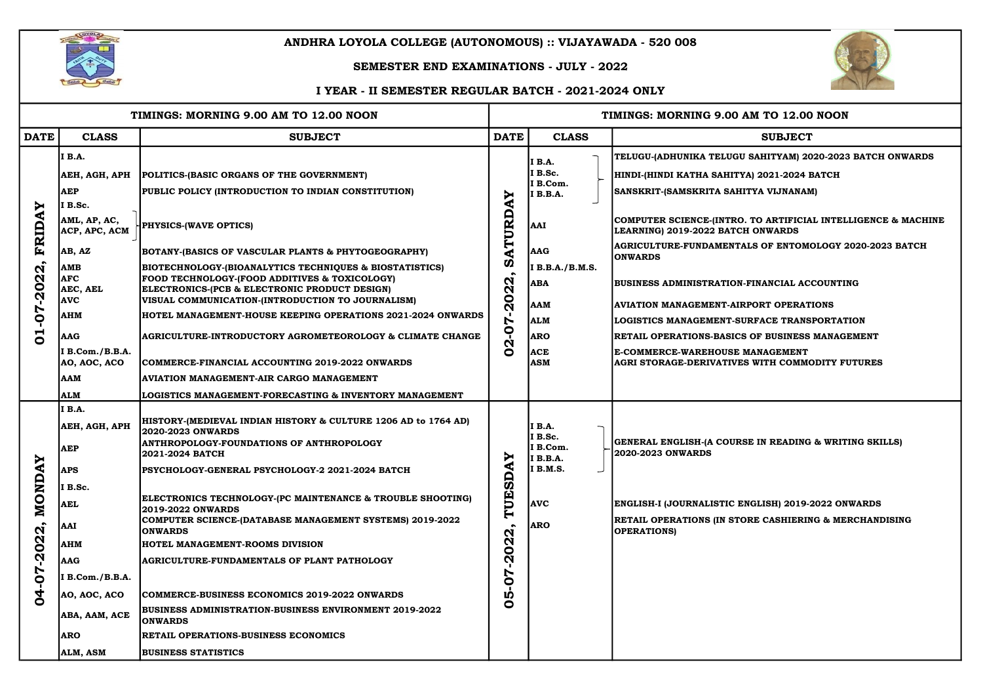| TIMINGS: MORNING 9.00 AM TO 12.00 NOON                                                                                    |                                                                                                                                                                                                             |                                                                                                                                                                                                                                                                                                                                                                                                                                                                                                                                                                                                                                                                                                                                                                | TIMINGS: MORNING 9.00 AM TO 12.00 NOON                                                            |                                                                                                     |                                                                                                                                                                                                                                                                                                      |  |  |  |
|---------------------------------------------------------------------------------------------------------------------------|-------------------------------------------------------------------------------------------------------------------------------------------------------------------------------------------------------------|----------------------------------------------------------------------------------------------------------------------------------------------------------------------------------------------------------------------------------------------------------------------------------------------------------------------------------------------------------------------------------------------------------------------------------------------------------------------------------------------------------------------------------------------------------------------------------------------------------------------------------------------------------------------------------------------------------------------------------------------------------------|---------------------------------------------------------------------------------------------------|-----------------------------------------------------------------------------------------------------|------------------------------------------------------------------------------------------------------------------------------------------------------------------------------------------------------------------------------------------------------------------------------------------------------|--|--|--|
| <b>DATE</b>                                                                                                               | <b>CLASS</b>                                                                                                                                                                                                | <b>SUBJECT</b>                                                                                                                                                                                                                                                                                                                                                                                                                                                                                                                                                                                                                                                                                                                                                 | <b>DATE</b>                                                                                       | <b>CLASS</b>                                                                                        | <b>SUBJECT</b>                                                                                                                                                                                                                                                                                       |  |  |  |
| <b>AY</b><br><b>FRID</b><br>$\boldsymbol{\mathsf{N}}$<br>$\overline{a}$<br>$\dot{q}$<br>70<br>$\blacksquare$<br>$\bullet$ | <b>I</b> B.A.<br>AEH, AGH, APH<br><b>AEP</b><br>I B.Sc.                                                                                                                                                     | POLITICS-(BASIC ORGANS OF THE GOVERNMENT)<br>PUBLIC POLICY (INTRODUCTION TO INDIAN CONSTITUTION)                                                                                                                                                                                                                                                                                                                                                                                                                                                                                                                                                                                                                                                               | YA<br><b>URD</b><br>نج<br>ح<br>N<br>N<br>0<br>$\boldsymbol{\mathsf{N}}$<br>$\bullet$<br>$\bullet$ | I B.A.<br>I B.Sc.<br>I B.Com.<br><b>I</b> B.B.A.                                                    | TELUGU-(ADHUNIKA TELUGU SAHITYAM) 2020-2023 BATCH ONWA<br>HINDI-(HINDI KATHA SAHITYA) 2021-2024 BATCH<br> SANSKRIT-(SAMSKRITA SAHITYA VIJNANAM)                                                                                                                                                      |  |  |  |
|                                                                                                                           | AML, AP, AC,<br>ACP, APC, ACM<br>AB, AZ                                                                                                                                                                     | <b>HPHYSICS-(WAVE OPTICS)</b><br> BOTANY-(BASICS OF VASCULAR PLANTS & PHYTOGEOGRAPHY)                                                                                                                                                                                                                                                                                                                                                                                                                                                                                                                                                                                                                                                                          |                                                                                                   | <b>AAI</b><br><b>AAG</b>                                                                            | COMPUTER SCIENCE-(INTRO. TO ARTIFICIAL INTELLIGENCE & MA<br>LEARNING) 2019-2022 BATCH ONWARDS<br>AGRICULTURE-FUNDAMENTALS OF ENTOMOLOGY 2020-2023 BAT<br><b>ONWARDS</b>                                                                                                                              |  |  |  |
|                                                                                                                           | <b>AMB</b><br><b>AFC</b><br>AEC, AEL<br><b>AVC</b><br><b>AHM</b><br><b>AAG</b><br>I B.Com./B.B.A.<br>AO, AOC, ACO<br><b>AAM</b>                                                                             | BIOTECHNOLOGY-(BIOANALYTICS TECHNIQUES & BIOSTATISTICS)<br>FOOD TECHNOLOGY-(FOOD ADDITIVES & TOXICOLOGY)<br>ELECTRONICS-(PCB & ELECTRONIC PRODUCT DESIGN)<br>VISUAL COMMUNICATION-(INTRODUCTION TO JOURNALISM)<br>HOTEL MANAGEMENT-HOUSE KEEPING OPERATIONS 2021-2024 ONWARDS<br>AGRICULTURE-INTRODUCTORY AGROMETEOROLOGY & CLIMATE CHANGE<br>COMMERCE-FINANCIAL ACCOUNTING 2019-2022 ONWARDS<br>AVIATION MANAGEMENT-AIR CARGO MANAGEMENT                                                                                                                                                                                                                                                                                                                      |                                                                                                   | I B.B.A./B.M.S.<br><b>ABA</b><br><b>AAM</b><br><b>ALM</b><br><b>ARO</b><br><b>ACE</b><br><b>ASM</b> | BUSINESS ADMINISTRATION-FINANCIAL ACCOUNTING<br><b>AVIATION MANAGEMENT-AIRPORT OPERATIONS</b><br><b>LOGISTICS MANAGEMENT-SURFACE TRANSPORTATION</b><br><b> RETAIL OPERATIONS-BASICS OF BUSINESS MANAGEMENT</b><br>E-COMMERCE-WAREHOUSE MANAGEMENT<br>AGRI STORAGE-DERIVATIVES WITH COMMODITY FUTURES |  |  |  |
| AY<br>MOND<br>$\mathbf{N}$<br>$-202$<br>70<br>$\mathbf{p}$                                                                | <b>ALM</b><br>I B.A.<br>AEH, AGH, APH<br><b>AEP</b><br><b>APS</b><br>I B.Sc.<br><b>AEL</b><br>AAI<br><b>AHM</b><br><b>AAG</b><br>I B.Com./B.B.A.<br>AO, AOC, ACO<br>ABA, AAM, ACE<br><b>ARO</b><br>ALM, ASM | <b>LOGISTICS MANAGEMENT-FORECASTING &amp; INVENTORY MANAGEMENT</b><br>HISTORY-(MEDIEVAL INDIAN HISTORY & CULTURE 1206 AD to 1764 AD)<br>2020-2023 ONWARDS<br><b>ANTHROPOLOGY-FOUNDATIONS OF ANTHROPOLOGY</b><br>2021-2024 BATCH<br> PSYCHOLOGY-GENERAL PSYCHOLOGY-2 2021-2024 BATCH<br>ELECTRONICS TECHNOLOGY-(PC MAINTENANCE & TROUBLE SHOOTING)<br>2019-2022 ONWARDS<br>COMPUTER SCIENCE-(DATABASE MANAGEMENT SYSTEMS) 2019-2022<br><b>ONWARDS</b><br><b>HOTEL MANAGEMENT-ROOMS DIVISION</b><br><b>AGRICULTURE-FUNDAMENTALS OF PLANT PATHOLOGY</b><br>COMMERCE-BUSINESS ECONOMICS 2019-2022 ONWARDS<br>BUSINESS ADMINISTRATION-BUSINESS ENVIRONMENT 2019-2022<br><b>ONWARDS</b><br><b>RETAIL OPERATIONS-BUSINESS ECONOMICS</b><br><b>BUSINESS STATISTICS</b> | ≻<br>⋖<br><u>မိ</u><br>Ë<br>H<br>N<br>N<br>0<br>N<br>r<br>0<br><b>IV</b><br>0                     | <b>I</b> B.A.<br>I B.Sc.<br>I B.Com.<br><b>I</b> B.B.A.<br>I B.M.S.<br><b>AVC</b><br><b>ARO</b>     | GENERAL ENGLISH-(A COURSE IN READING & WRITING SKILLS)<br>2020-2023 ONWARDS<br><b>ENGLISH-I (JOURNALISTIC ENGLISH) 2019-2022 ONWARDS</b><br><b>RETAIL OPERATIONS (IN STORE CASHIERING &amp; MERCHANDISING)</b><br><b>OPERATIONS</b>                                                                  |  |  |  |



# **AM TO 12.00 NOON**

U SAHITYAM) 2020-2023 BATCH ONWARDS

O. TO ARTIFICIAL INTELLIGENCE & MACHINE **CH ONWARDS** ALS OF ENTOMOLOGY 2020-2023 BATCH



# ANDHRA LOYOLA COLLEGE (AUTONOMOUS) :: VIJAYAWADA - 520 008

## SEMESTER END EXAMINATIONS - JULY - 2022

## I YEAR - II SEMESTER REGULAR BATCH - 2021-2024 ONLY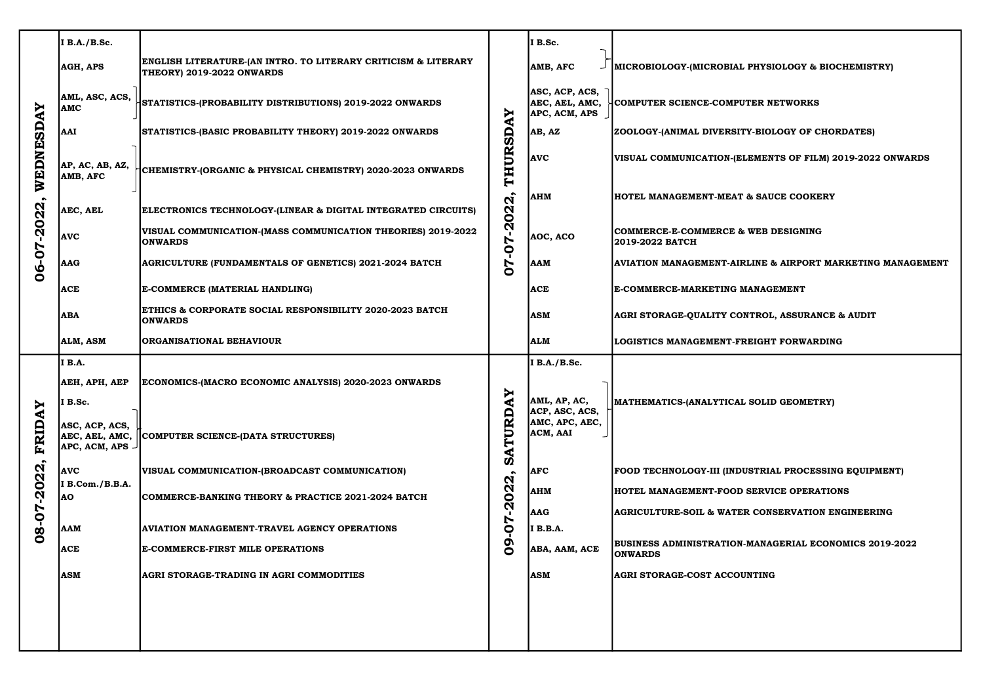| <b>AY</b><br>WEDNESD<br>$-2022$<br>06-07                               | I B.A./B.Sc.                           |                                                                                             |                                         | I B.Sc.                                           |                                                                   |
|------------------------------------------------------------------------|----------------------------------------|---------------------------------------------------------------------------------------------|-----------------------------------------|---------------------------------------------------|-------------------------------------------------------------------|
|                                                                        | AGH, APS                               | ENGLISH LITERATURE-(AN INTRO. TO LITERARY CRITICISM & LITERARY<br>THEORY) 2019-2022 ONWARDS |                                         | AMB, AFC                                          | MICROBIOLOGY-(MICROBIAL PHYSIOLOGY & B                            |
|                                                                        | AML, ASC, ACS,<br><b>AMC</b>           | STATISTICS-(PROBABILITY DISTRIBUTIONS) 2019-2022 ONWARDS                                    | Ņ                                       | ASC, ACP, ACS,<br>AEC, AEL, AMC,<br>APC, ACM, APS | COMPUTER SCIENCE-COMPUTER NETWORKS                                |
|                                                                        | AAI                                    | STATISTICS-(BASIC PROBABILITY THEORY) 2019-2022 ONWARDS                                     | ⋖<br><u>ခ</u> ္တ                        | AB, AZ                                            | <b>ZOOLOGY-(ANIMAL DIVERSITY-BIOLOGY OF CH</b>                    |
|                                                                        | AP, AC, AB, AZ,<br>AMB, AFC            | CHEMISTRY-(ORGANIC & PHYSICAL CHEMISTRY) 2020-2023 ONWARDS                                  | THUR                                    | <b>AVC</b>                                        | VISUAL COMMUNICATION-(ELEMENTS OF FILM                            |
|                                                                        | AEC, AEL                               | ELECTRONICS TECHNOLOGY-(LINEAR & DIGITAL INTEGRATED CIRCUITS)                               | 2022                                    | <b>AHM</b>                                        | <b>HOTEL MANAGEMENT-MEAT &amp; SAUCE COOKEI</b>                   |
|                                                                        | <b>AVC</b>                             | VISUAL COMMUNICATION-(MASS COMMUNICATION THEORIES) 2019-2022<br><b>ONWARDS</b>              | - 1<br>Ŋ                                | AOC, ACO                                          | <b>COMMERCE-E-COMMERCE &amp; WEB DESIGNING</b><br>2019-2022 BATCH |
|                                                                        | AAG                                    | <b>AGRICULTURE (FUNDAMENTALS OF GENETICS) 2021-2024 BATCH</b>                               | 0<br>ト<br>O                             | <b>AAM</b>                                        | <b>AVIATION MANAGEMENT-AIRLINE &amp; AIRPORT</b>                  |
|                                                                        | <b>ACE</b>                             | E-COMMERCE (MATERIAL HANDLING)                                                              |                                         | <b>ACE</b>                                        | E-COMMERCE-MARKETING MANAGEMENT                                   |
|                                                                        | <b>ABA</b>                             | ETHICS & CORPORATE SOCIAL RESPONSIBILITY 2020-2023 BATCH<br><b>ONWARDS</b>                  |                                         | <b>ASM</b>                                        | <b>AGRI STORAGE-QUALITY CONTROL, ASSURANO</b>                     |
|                                                                        | ALM, ASM                               | <b>ORGANISATIONAL BEHAVIOUR</b>                                                             |                                         | ALM                                               | LOGISTICS MANAGEMENT-FREIGHT FORWARD                              |
| ≻<br>FRIDA<br>$\bullet$<br>$-2022$<br>$\mathbf{I}$<br>Ņ<br>$0 - 8 - 0$ | I B.A.<br>AEH, APH, AEP<br>I B.Sc.     | ECONOMICS-(MACRO ECONOMIC ANALYSIS) 2020-2023 ONWARDS                                       | Y<br>⋖<br>RD<br>Þ<br>Ĥ<br>⋖             | I B.A./B.Sc.<br>AML, AP, AC,<br>ACP, ASC, ACS,    | MATHEMATICS-(ANALYTICAL SOLID GEOMETR                             |
|                                                                        | ASC, ACP, ACS,<br>$APC, ACM, APS \cup$ | AEC, AEL, AMC,   COMPUTER SCIENCE-(DATA STRUCTURES)                                         |                                         | AMC, APC, AEC,<br>ACM, AAI                        |                                                                   |
|                                                                        | <b>AVC</b>                             | VISUAL COMMUNICATION-(BROADCAST COMMUNICATION)                                              | Ø<br>$\bullet$<br>$\boldsymbol{\alpha}$ | <b>AFC</b>                                        | FOOD TECHNOLOGY-III (INDUSTRIAL PROCESS                           |
|                                                                        | I B.Com./B.B.A.<br><b>AO</b>           | COMMERCE-BANKING THEORY & PRACTICE 2021-2024 BATCH                                          | $\mathbf{S}$<br>Ņ                       | <b>AHM</b>                                        | HOTEL MANAGEMENT-FOOD SERVICE OPERAT                              |
|                                                                        | <b>AAM</b>                             | <b>AVIATION MANAGEMENT-TRAVEL AGENCY OPERATIONS</b>                                         | $\blacktriangleright$<br>$\bullet$      | <b>AAG</b><br><b>I</b> B.B.A.                     | <b>AGRICULTURE-SOIL &amp; WATER CONSERVATION</b>                  |
|                                                                        | <b>ACE</b>                             | <b>E-COMMERCE-FIRST MILE OPERATIONS</b>                                                     | $\mathbf{S}$                            | ABA, AAM, ACE                                     | <b>BUSINESS ADMINISTRATION-MANAGERIAL ECO</b><br><b>ONWARDS</b>   |
|                                                                        | <b>ASM</b>                             | <b>AGRI STORAGE-TRADING IN AGRI COMMODITIES</b>                                             |                                         | ASM                                               | <b>AGRI STORAGE-COST ACCOUNTING</b>                               |
|                                                                        |                                        |                                                                                             |                                         |                                                   |                                                                   |
|                                                                        |                                        |                                                                                             |                                         |                                                   |                                                                   |
|                                                                        |                                        |                                                                                             |                                         |                                                   |                                                                   |

#### L PHYSIOLOGY & BIOCHEMISTRY)

#### UTER NETWORKS

#### ITY-BIOLOGY OF CHORDATES)

ELEMENTS OF FILM) 2019-2022 ONWARDS

**& SAUCE COOKERY** 

RLINE & AIRPORT MARKETING MANAGEMENT

ONTROL, ASSURANCE & AUDIT

FREIGHT FORWARDING

### L SOLID GEOMETRY)

)USTRIAL PROCESSING EQUIPMENT)

**SERVICE OPERATIONS** 

ER CONSERVATION ENGINEERING

I-MANAGERIAL ECONOMICS 2019-2022